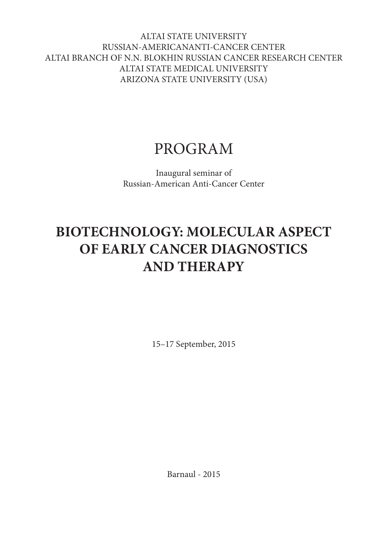ALTAI STATE UNIVERSITY RUSSIAN-AMERICANANTI-CANCER CENTER ALTAI BRANCH OF N.N. BLOKHIN RUSSIAN CANCER RESEARCH CENTER ALTAI STATE MEDICAL UNIVERSITY ARIZONA STATE UNIVERSITY (USA)

# PROGRAM

Inaugural seminar of Russian-American Anti-Cancer Center

# **BIOTECHNOLOGY: MOLECULAR ASPECT OF EARLY CANCER DIAGNOSTICS AND THERAPY**

15–17 September, 2015

Barnaul - 2015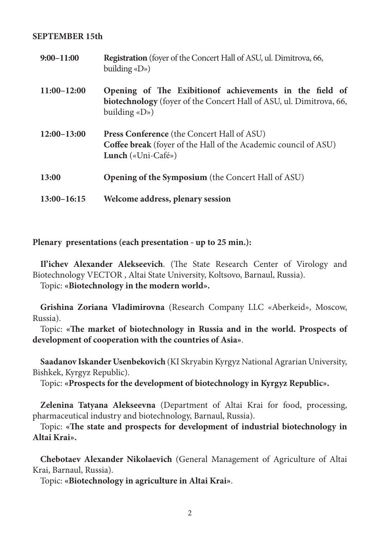### **SEPTEMBER 15th**

| $9:00 - 11:00$  | Registration (foyer of the Concert Hall of ASU, ul. Dimitrova, 66,<br>building $\langle$ D»)                                                              |
|-----------------|-----------------------------------------------------------------------------------------------------------------------------------------------------------|
| $11:00 - 12:00$ | Opening of The Exibition of achievements in the field of<br>biotechnology (foyer of the Concert Hall of ASU, ul. Dimitrova, 66,<br>building $\langle$ D») |
| $12:00-13:00$   | <b>Press Conference</b> (the Concert Hall of ASU)<br><b>Coffee break</b> (foyer of the Hall of the Academic council of ASU)<br><b>Lunch</b> («Uni-Café»)  |
| 13:00           | <b>Opening of the Symposium</b> (the Concert Hall of ASU)                                                                                                 |
| $13:00 - 16:15$ | Welcome address, plenary session                                                                                                                          |

**Plenary presentations (each presentation - up to 25 min.):**

**Il'ichev Alexander Alekseevich**. (The State Research Center of Virology and Biotechnology VECTOR , Altai State University, Koltsovo, Barnaul, Russia).

Topic: **«Biotechnology in the modern world».**

**Grishina Zoriana Vladimirovna** (Research Company LLC «Aberkeid», Moscow, Russia).

Topic: **«The market of biotechnology in Russia and in the world. Prospects of development of cooperation with the countries of Asia»**.

**Saadanov Iskander Usenbekovich** (KI Skryabin Kyrgyz National Agrarian University, Bishkek, Kyrgyz Republic).

Topic: **«Prospects for the development of biotechnology in Kyrgyz Republic».**

**Zelenina Tatyana Alekseevna** (Department of Altai Krai for food, processing, pharmaceutical industry and biotechnology, Barnaul, Russia).

Topic: **«The state and prospects for development of industrial biotechnology in Altai Krai».**

**Chebotaev Alexander Nikolaevich** (General Management of Agriculture of Altai Krai, Barnaul, Russia).

Topic: **«Biotechnology in agriculture in Altai Krai»**.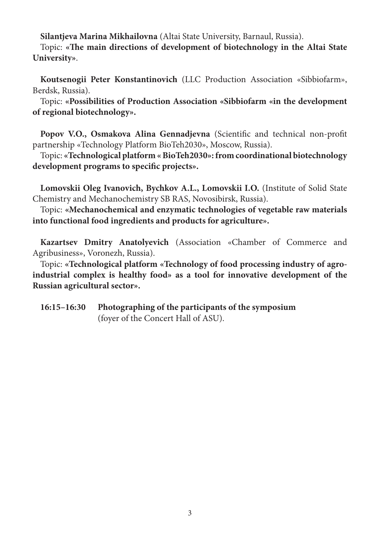**Silantjeva Marina Mikhailovna** (Altai State University, Barnaul, Russia).

Topic: **«The main directions of development of biotechnology in the Altai State University»**.

**Koutsenogii Peter Konstantinovich** (LLC Production Association «Sibbiofarm», Berdsk, Russia).

Topic: **«Possibilities of Production Association «Sibbiofarm «in the development of regional biotechnology».**

**Popov V.O., Osmakova Alina Gennadjevna** (Scientific and technical non-profit partnership «Technology Platform BioTeh2030», Moscow, Russia).

Topic: **«Technological platform « BioTeh2030»: from coordinational biotechnology development programs to specific projects».**

**Lomovskii Oleg Ivanovich, Bychkov A.L., Lomovskii I.O.** (Institute of Solid State Chemistry and Mechanochemistry SB RAS, Novosibirsk, Russia).

Topic: **«Mechanochemical and enzymatic technologies of vegetable raw materials into functional food ingredients and products for agriculture».**

**Kazartsev Dmitry Anatolyevich** (Association «Chamber of Commerce and Agribusiness», Voronezh, Russia).

Topic: **«Technological platform «Technology of food processing industry of agroindustrial complex is healthy food» as a tool for innovative development of the Russian agricultural sector».**

**16:15–16:30 Photographing of the participants of the symposium** (foyer of the Concert Hall of ASU).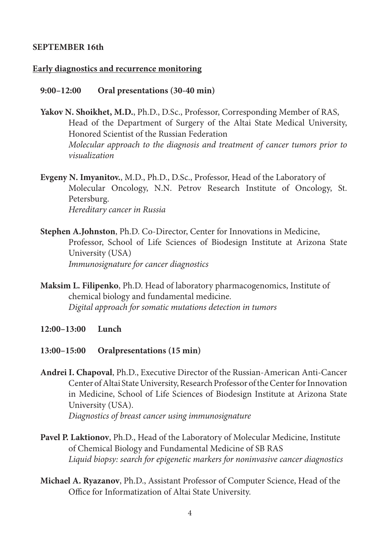## **September 16th**

### **Early diagnostics and recurrence monitoring**

### **9:00–12:00 Oral presentations (30-40 min)**

**Yakov N. Shoikhet, M.D.**, Ph.D., D.Sc., Professor, Corresponding Member of RAS, Head of the Department of Surgery of the Altai State Medical University, Honored Scientist of the Russian Federation *Molecular approach to the diagnosis and treatment of cancer tumors prior to visualization*

**Evgeny N. Imyanitov.**, M.D., Ph.D., D.Sc., Professor, Head of the Laboratory of Molecular Oncology, N.N. Petrov Research Institute of Oncology, St. Petersburg. *Hereditary cancer in Russia*

- **Stephen A.Johnston**, Ph.D. Co-Director, Center for Innovations in Medicine, Professor, School of Life Sciences of Biodesign Institute at Arizona State University (USA) *Immunosignature for cancer diagnostics*
- **Maksim L. Filipenko**, Ph.D. Head of laboratory pharmacogenomics, Institute of chemical biology and fundamental medicine. *Digital approach for somatic mutations detection in tumors*
- **12:00–13:00 Lunch**

### **13:00–15:00 Oralpresentations (15 min)**

- **Andrei I. Chapoval**, Ph.D., Executive Director of the Russian-American Anti-Cancer Center of Altai State University, Research Professor of the Center for Innovation in Medicine, School of Life Sciences of Biodesign Institute at Arizona State University (USA). *Diagnostics of breast cancer using immunosignature*
- **Pavel P. Laktionov**, Ph.D., Head of the Laboratory of Molecular Medicine, Institute of Chemical Biology and Fundamental Medicine of SB RAS *Liquid biopsy: search for epigenetic markers for noninvasive cancer diagnostics*
- **Michael A. Ryazanov**, Ph.D., Assistant Professor of Computer Science, Head of the Office for Informatization of Altai State University.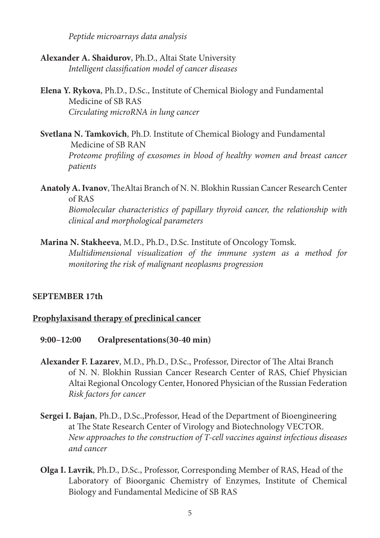*Peptide microarrays data analysis*

- **Alexander A. Shaidurov**, Ph.D., Altai State University *Intelligent classification model of cancer diseases*
- **Elena Y. Rykova**, Ph.D., D.Sc., Institute of Chemical Biology and Fundamental Medicine of SB RAS *Circulating microRNA in lung cancer*
- **Svetlana N. Tamkovich**, Ph.D. Institute of Chemical Biology and Fundamental Medicine of SB RAN *Proteome profiling of exosomes in blood of healthy women and breast cancer patients*

**Anatoly A. Ivanov**, TheAltai Branch of N. N. Blokhin Russian Cancer Research Center of RAS *Biomolecular characteristics of papillary thyroid cancer, the relationship with clinical and morphological parameters*

**Marina N. Stakheeva**, M.D., Ph.D., D.Sc. Institute of Oncology Tomsk. *Multidimensional visualization of the immune system as a method for monitoring the risk of malignant neoplasms progression*

### **SEPTEMBER 17th**

## **Prophylaxisand therapy of preclinical cancer**

- **9:00–12:00 Oralpresentations(30-40 min)**
- **Alexander F. Lazarev**, M.D., Ph.D., D.Sc., Professor, Director of The Altai Branch of N. N. Blokhin Russian Cancer Research Center of RAS, Chief Physician Altai Regional Oncology Center, Honored Physician of the Russian Federation *Risk factors for cancer*
- **Sergei I. Bajan**, Ph.D., D.Sc.,Professor, Head of the Department of Bioengineering at The State Research Center of Virology and Biotechnology VECTOR. *New approaches to the construction of T-cell vaccines against infectious diseases and cancer*
- **Olga I. Lavrik**, Ph.D., D.Sc., Professor, Corresponding Member of RAS, Head of the Laboratory of Bioorganic Chemistry of Enzymes, Institute of Chemical Biology and Fundamental Medicine of SB RAS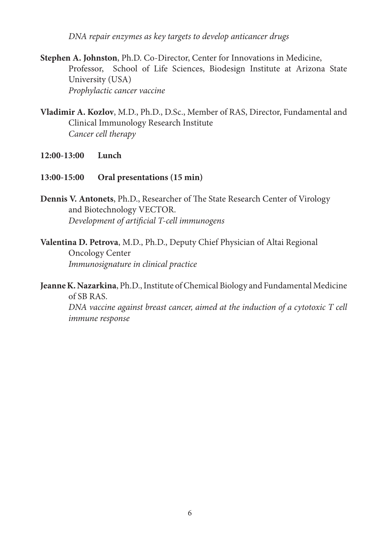*DNA repair enzymes as key targets to develop anticancer drugs*

**Stephen A. Johnston**, Ph.D. Co-Director, Center for Innovations in Medicine, Professor, School of Life Sciences, Biodesign Institute at Arizona State University (USA) *Prophylactic cancer vaccine*

- **Vladimir A. Kozlov**, M.D., Ph.D., D.Sc., Member of RAS, Director, Fundamental and Clinical Immunology Research Institute *Cancer cell therapy*
- **12:00-13:00 Lunch**
- **13:00-15:00 Oral presentations (15 min)**
- **Dennis V. Antonets**, Ph.D., Researcher of The State Research Center of Virology and Biotechnology VECTOR. *Development of artificial T-cell immunogens*
- **Valentina D. Petrova**, M.D., Ph.D., Deputy Chief Physician of Altai Regional Oncology Center *Immunosignature in clinical practice*

**Jeanne K. Nazarkina**, Ph.D., Institute of Chemical Biology and Fundamental Medicine of SB RAS. *DNA vaccine against breast cancer, aimed at the induction of a cytotoxic T cell immune response*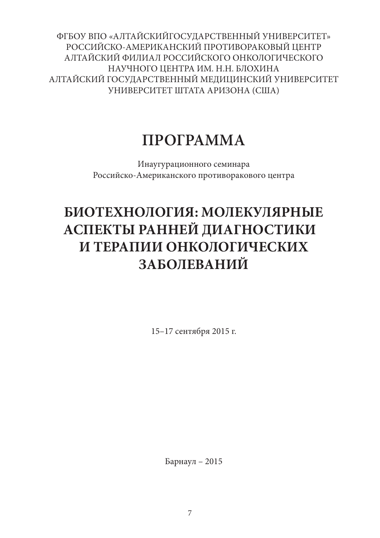ФГБОУ ВПО «АЛТАЙСКИЙГОСУДАРСТВЕННЫЙ УНИВЕРСИТЕТ» РОССИЙСКО-АМЕРИКАНСКИЙ ПРОТИВОРАКОВЫЙ ЦЕНТР АЛТАЙСКИЙ ФИЛИАЛ РОССИЙСКОГО ОНКОЛОГИЧЕСКОГО НАУЧНОГО ЦЕНТРА ИМ. Н.Н. БЛОХИНА АЛТАЙСКИЙ ГОСУДАРСТВЕННЫЙ МЕДИЦИНСКИЙ УНИВЕРСИТЕТ УНИВЕРСИТЕТ ШТАТА АРИЗОНА (США)

# **ПРОГРАММА**

Инаугурационного семинара Российско-Американского противоракового центра

# **БИОТЕХНОЛОГИЯ: МОЛЕКУЛЯРНЫЕ АСПЕКТЫ РАННЕЙ ДИАГНОСТИКИ И ТЕРАПИИ ОНКОЛОГИЧЕСКИХ ЗАБОЛЕВАНИЙ**

15–17 сентября 2015 г.

Барнаул – 2015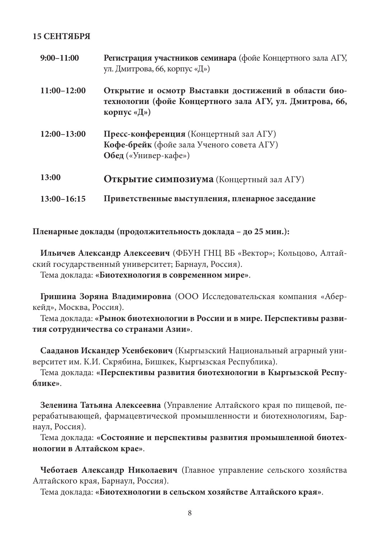### **15 СЕНТЯБРЯ**

| $9:00 - 11:00$  | Регистрация участников семинара (фойе Концертного зала АГУ,<br>ул. Дмитрова, 66, корпус «Д»)                                    |
|-----------------|---------------------------------------------------------------------------------------------------------------------------------|
| $11:00-12:00$   | Открытие и осмотр Выставки достижений в области био-<br>технологии (фойе Концертного зала АГУ, ул. Дмитрова, 66,<br>корпус «Д») |
| $12:00-13:00$   | Пресс-конференция (Концертный зал АГУ)<br>Кофе-брейк (фойе зала Ученого совета АГУ)<br>Обед («Универ-кафе»)                     |
| 13:00           | Открытие симпозиума (Концертный зал АГУ)                                                                                        |
| $13:00 - 16:15$ | Приветственные выступления, пленарное заседание                                                                                 |

**Пленарные доклады (продолжительность доклада – до 25 мин.):**

**Ильичев Александр Алексеевич** (ФБУН ГНЦ ВБ «Вектор»; Кольцово, Алтайский государственный университет; Барнаул, Россия).

Тема доклада: **«Биотехнология в современном мире»**.

**Гришина Зоряна Владимировна** (ООО Исследовательская компания «Аберкейд», Москва, Россия).

Тема доклада: **«Рынок биотехнологии в России и в мире. Перспективы развития сотрудничества со странами Азии»**.

**Сааданов Искандер Усенбекович** (Кыргызский Национальный аграрный университет им. К.И. Скрябина, Бишкек, Кыргызская Республика).

Тема доклада: **«Перспективы развития биотехнологии в Кыргызской Республике»**.

**Зеленина Татьяна Алексеевна** (Управление Алтайского края по пищевой, перерабатывающей, фармацевтической промышленности и биотехнологиям, Барнаул, Россия).

Тема доклада: **«Состояние и перспективы развития промышленной биотехнологии в Алтайском крае»**.

**Чеботаев Александр Николаевич** (Главное управление сельского хозяйства Алтайского края, Барнаул, Россия).

Тема доклада: **«Биотехнологии в сельском хозяйстве Алтайского края»**.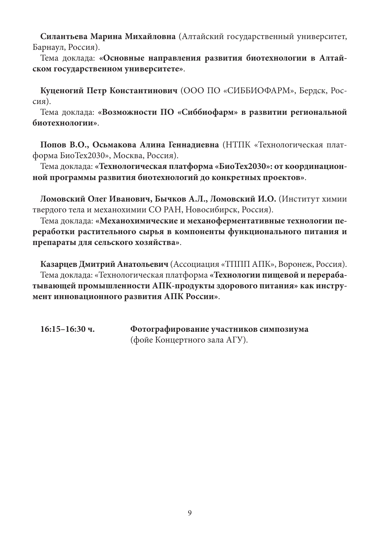**Силантьева Марина Михайловна** (Алтайский государственный университет, Барнаул, Россия).

Тема доклада: **«Основные направления развития биотехнологии в Алтайском государственном университете»**.

**Куценогий Петр Константинович** (ООО ПО «СИББИОФАРМ», Бердск, Россия).

Тема доклада: **«Возможности ПО «Сиббиофарм» в развитии региональной биотехнологии»**.

**Попов В.О., Осьмакова Алина Геннадиевна** (НТПК «Технологическая платформа БиоТех2030», Москва, Россия).

Тема доклада: **«Технологическая платформа «БиоТех2030»: от координационной программы развития биотехнологий до конкретных проектов»**.

**Ломовский Олег Иванович, Бычков А.Л., Ломовский И.О.** (Институт химии твердого тела и механохимии СО РАН, Новосибирск, Россия).

Тема доклада: **«Механохимические и механоферментативные технологии переработки растительного сырья в компоненты функционального питания и препараты для сельского хозяйства»**.

**Казарцев Дмитрий Анатольевич** (Ассоциация «ТППП АПК», Воронеж, Россия). Тема доклада: «Технологическая платформа **«Технологии пищевой и перерабатывающей промышленности АПК-продукты здорового питания» как инструмент инновационного развития АПК России»**.

**16:15–16:30 ч. Фотографирование участников симпозиума**  (фойе Концертного зала АГУ).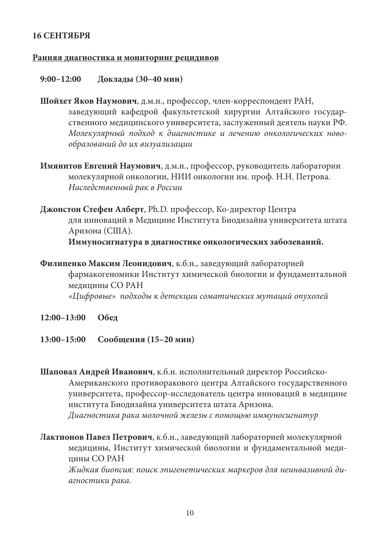## **16 СЕНТЯБРЯ**

### **Ранняя диагностика и мониторинг рецидивов**

## **9:00–12:00 Доклады (30–40 мин)**

**Шойхет Яков Наумович**, д.м.н., профессор, член-корреспондент РАН, заведующий кафедрой факультетской хирургии Алтайского государственного медицинского университета, заслуженный деятель науки РФ. *Молекулярный подход к диагностике и лечению онкологических новообразований до их визуализации*

- **Имянитов Евгений Наумович**, д.м.н., профессор, руководитель лаборатории молекулярной онкологии, НИИ онкологии им. проф. Н.Н. Петрова. *Наследственный рак в России*
- **Джонстон Стефен Алберт**, Ph.D. профессор, Ко-директор Центра для инноваций в Медицине Института Биодизайна университета штата Аризона (США).

**Иммуносигнатура в диагностике онкологических заболеваний.**

**Филипенко Максим Леонидович**, к.б.н., заведующий лабораторией фармакогеномики Институт химической биологии и фундаментальной медицины СО РАН *«Цифровые» подходы к детекции соматических мутаций опухолей*

- **12:00–13:00 Обед**
- **13:00–15:00 Сообщения (15–20 мин)**
- **Шаповал Андрей Иванович**, к.б.н. исполнительный директор Российско-Американского противоракового центра Алтайского государственного университета, профессор-исследователь центра инноваций в медицине института Биодизайна университета штата Аризона. *Диагностика рака молочной железы с помощью иммуносигнатур*

**Лактионов Павел Петрович**, к.б.н., заведующий лабораторией молекулярной медицины, Институт химической биологии и фундаментальной медицины СО РАН *Жидкая биопсия: поиск эпигенетических маркеров для неинвазивной диагностики рака.*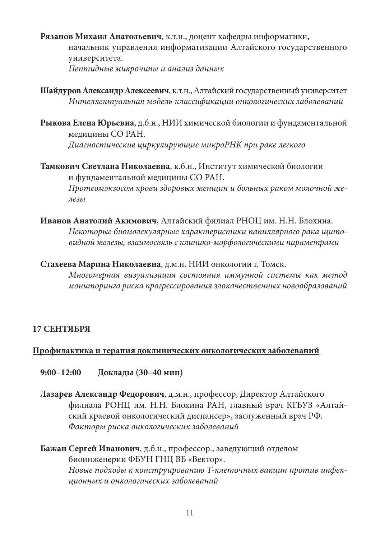**Рязанов Михаил Анатольевич**, к.т.н., доцент кафедры информатики, начальник управления информатизации Алтайского государственного университета. *Пептидные микрочипы и анализ данных*

**Шайдуров Александр Алексеевич**, к.т.н., Алтайский государственный университет *Интеллектуальная модель классификации онкологических заболеваний*

**Рыкова Елена Юрьевна**, д.б.н., НИИ химической биологии и фундаментальной медицины СО РАН. *Диагностические циркулирующие микроРНК при раке легкого*

**Тамкович Светлана Николаевна**, к.б.н., Институт химической биологии и фундаментальной медицины СО РАН. *Протеомэкзосом крови здоровых женщин и больных раком молочной железы*

**Иванов Анатолий Акимович**, Алтайский филиал РНОЦ им. Н.Н. Блохина. *Некоторые биомолекулярные характеристики папиллярного рака щитовидной железы, взаимосвязь с клинико-морфологическими параметрами*

**Стахеева Марина Николаевна**, д.м.н. НИИ онкологии г. Томск. *Многомерная визуализация состояния иммунной системы как метод мониторинга риска прогрессирования злокачественных новообразований*

## **17 СЕНТЯБРЯ**

## **Профилактика и терапия доклинических онкологических заболеваний**

**9:00–12:00 Доклады (30–40 мин)**

**Лазарев Александр Федорович**, д.м.н., профессор, Директор Алтайского филиала РОНЦ им. Н.Н. Блохина РАН, главный врач КГБУЗ «Алтайский краевой онкологический диспансер», заслуженный врач РФ. *Факторы риска онкологических заболеваний*

**Бажан Сергей Иванович**, д.б.н., профессор., заведующий отделом биоинженерии ФБУН ГНЦ ВБ «Вектор». *Новые подходы к конструированию Т-клеточных вакцин против инфекционных и онкологических заболеваний*